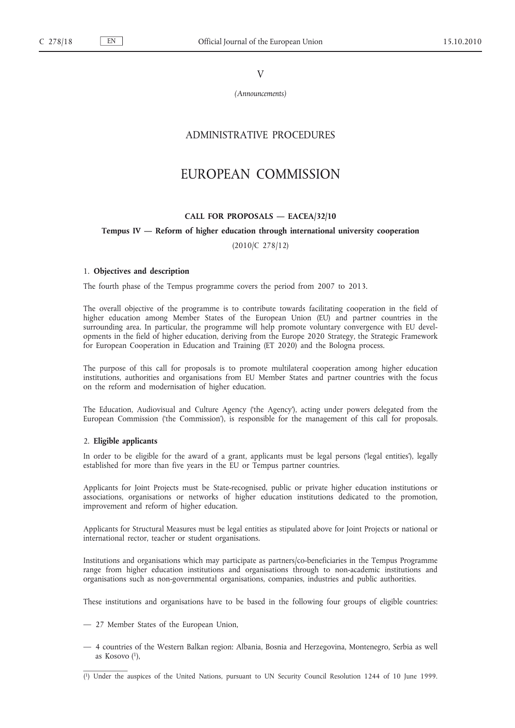V

*(Announcements)*

# ADMINISTRATIVE PROCEDURES

# EUROPEAN COMMISSION

## **CALL FOR PROPOSALS — EACEA/32/10**

#### **Tempus IV — Reform of higher education through international university cooperation**

(2010/C 278/12)

### 1. **Objectives and description**

The fourth phase of the Tempus programme covers the period from 2007 to 2013.

The overall objective of the programme is to contribute towards facilitating cooperation in the field of higher education among Member States of the European Union (EU) and partner countries in the surrounding area. In particular, the programme will help promote voluntary convergence with EU developments in the field of higher education, deriving from the Europe 2020 Strategy, the Strategic Framework for European Cooperation in Education and Training (ET 2020) and the Bologna process.

The purpose of this call for proposals is to promote multilateral cooperation among higher education institutions, authorities and organisations from EU Member States and partner countries with the focus on the reform and modernisation of higher education.

The Education, Audiovisual and Culture Agency ('the Agency'), acting under powers delegated from the European Commission ('the Commission'), is responsible for the management of this call for proposals.

## 2. **Eligible applicants**

In order to be eligible for the award of a grant, applicants must be legal persons ('legal entities'), legally established for more than five years in the EU or Tempus partner countries.

Applicants for Joint Projects must be State-recognised, public or private higher education institutions or associations, organisations or networks of higher education institutions dedicated to the promotion, improvement and reform of higher education.

Applicants for Structural Measures must be legal entities as stipulated above for Joint Projects or national or international rector, teacher or student organisations.

Institutions and organisations which may participate as partners/co-beneficiaries in the Tempus Programme range from higher education institutions and organisations through to non-academic institutions and organisations such as non-governmental organisations, companies, industries and public authorities.

These institutions and organisations have to be based in the following four groups of eligible countries:

- 27 Member States of the European Union,
- 4 countries of the Western Balkan region: Albania, Bosnia and Herzegovina, Montenegro, Serbia as well as Kosovo  $(1)$ ,

<sup>(</sup> 1) Under the auspices of the United Nations, pursuant to UN Security Council Resolution 1244 of 10 June 1999.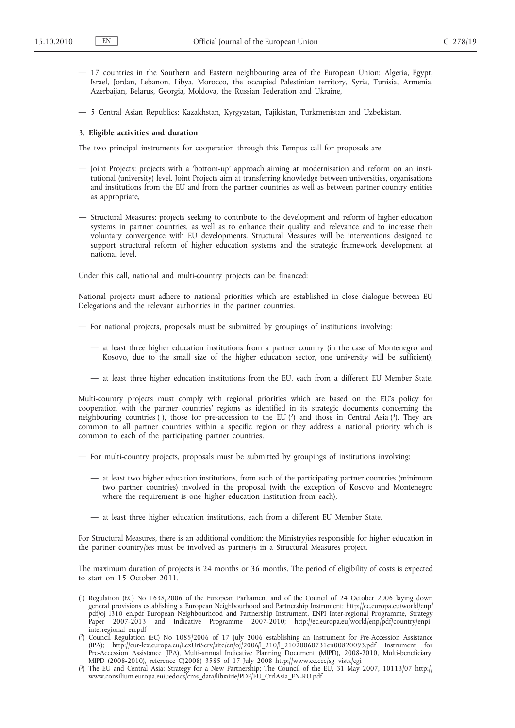- 17 countries in the Southern and Eastern neighbouring area of the European Union: Algeria, Egypt, Israel, Jordan, Lebanon, Libya, Morocco, the occupied Palestinian territory, Syria, Tunisia, Armenia, Azerbaijan, Belarus, Georgia, Moldova, the Russian Federation and Ukraine,
- 5 Central Asian Republics: Kazakhstan, Kyrgyzstan, Tajikistan, Turkmenistan and Uzbekistan.

### 3. **Eligible activities and duration**

The two principal instruments for cooperation through this Tempus call for proposals are:

- Joint Projects: projects with a 'bottom-up' approach aiming at modernisation and reform on an institutional (university) level. Joint Projects aim at transferring knowledge between universities, organisations and institutions from the EU and from the partner countries as well as between partner country entities as appropriate,
- Structural Measures: projects seeking to contribute to the development and reform of higher education systems in partner countries, as well as to enhance their quality and relevance and to increase their voluntary convergence with EU developments. Structural Measures will be interventions designed to support structural reform of higher education systems and the strategic framework development at national level.

Under this call, national and multi-country projects can be financed:

National projects must adhere to national priorities which are established in close dialogue between EU Delegations and the relevant authorities in the partner countries.

— For national projects, proposals must be submitted by groupings of institutions involving:

- at least three higher education institutions from a partner country (in the case of Montenegro and Kosovo, due to the small size of the higher education sector, one university will be sufficient),
- at least three higher education institutions from the EU, each from a different EU Member State.

Multi-country projects must comply with regional priorities which are based on the EU's policy for cooperation with the partner countries' regions as identified in its strategic documents concerning the neighbouring countries  $(1)$ , those for pre-accession to the EU  $(2)$  and those in Central Asia  $(3)$ . They are common to all partner countries within a specific region or they address a national priority which is common to each of the participating partner countries.

— For multi-country projects, proposals must be submitted by groupings of institutions involving:

- at least two higher education institutions, from each of the participating partner countries (minimum two partner countries) involved in the proposal (with the exception of Kosovo and Montenegro where the requirement is one higher education institution from each),
- at least three higher education institutions, each from a different EU Member State.

For Structural Measures, there is an additional condition: the Ministry/ies responsible for higher education in the partner country/ies must be involved as partner/s in a Structural Measures project.

The maximum duration of projects is 24 months or 36 months. The period of eligibility of costs is expected to start on 15 October 2011.

<sup>(</sup> 1) Regulation (EC) No 1638/2006 of the European Parliament and of the Council of 24 October 2006 laying down general provisions establishing a European Neighbourhood and Partnership Instrument; [http://ec.europa.eu/world/enp/](http://ec.europa.eu/world/enp/pdf/oj_l310_en.pdf) [pdf/oj\\_l310\\_en.pdf](http://ec.europa.eu/world/enp/pdf/oj_l310_en.pdf) European Neighbourhood and Partnership Instrument, ENPI Inter-regional Programme, Strategy and Indicative Programme 2007-2010; [http://ec.europa.eu/world/enp/pdf/country/enpi\\_](http://eur-lex.europa.eu/LexUriServ/site/en/oj/2006/l_210/l_21020060731en00820093.pdf) [interregional\\_en.pdf](http://eur-lex.europa.eu/LexUriServ/site/en/oj/2006/l_210/l_21020060731en00820093.pdf)

<sup>(</sup> 2) Council Regulation (EC) No 1085/2006 of 17 July 2006 establishing an Instrument for Pre-Accession Assistance (IPA); [http://eur-lex.europa.eu/LexUriServ/site/en/oj/2006/l\\_210/l\\_21020060731en00820093.pdf](http://eur-lex.europa.eu/LexUriServ/site/en/oj/2006/l_210/l_21020060731en00820093.pdf) Instrument for Pre-Accession Assistance (IPA), Multi-annual Indicative Planning Document (MIPD), 2008-2010, Multi-beneficiary; MIPD (2008-2010), reference C(2008) 3585 of 17 July 2008 [http://www.cc.cec/sg\\_vista/cgi](http://www.consilium.europa.eu/uedocs/cms_data/librairie/PDF/EU_CtrlAsia_EN-RU.pdf)

<sup>(</sup> 3) The EU and Central Asia: Strategy for a New Partnership; The Council of the EU, 31 May 2007, 10113/07 [http://](http://www.consilium.europa.eu/uedocs/cms_data/librairie/PDF/EU_CtrlAsia_EN-RU.pdf) [www.consilium.europa.eu/uedocs/cms\\_data/librairie/PDF/EU\\_CtrlAsia\\_EN-RU.pdf](http://www.consilium.europa.eu/uedocs/cms_data/librairie/PDF/EU_CtrlAsia_EN-RU.pdf)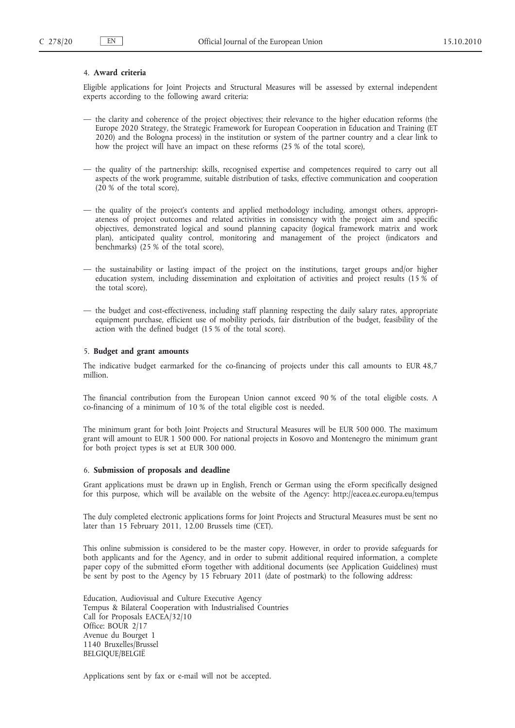### 4. **Award criteria**

Eligible applications for Joint Projects and Structural Measures will be assessed by external independent experts according to the following award criteria:

- the clarity and coherence of the project objectives; their relevance to the higher education reforms (the Europe 2020 Strategy, the Strategic Framework for European Cooperation in Education and Training (ET 2020) and the Bologna process) in the institution or system of the partner country and a clear link to how the project will have an impact on these reforms (25 % of the total score),
- the quality of the partnership: skills, recognised expertise and competences required to carry out all aspects of the work programme, suitable distribution of tasks, effective communication and cooperation (20 % of the total score),
- the quality of the project's contents and applied methodology including, amongst others, appropriateness of project outcomes and related activities in consistency with the project aim and specific objectives, demonstrated logical and sound planning capacity (logical framework matrix and work plan), anticipated quality control, monitoring and management of the project (indicators and benchmarks) (25 % of the total score),
- the sustainability or lasting impact of the project on the institutions, target groups and/or higher education system, including dissemination and exploitation of activities and project results (15 % of the total score),
- the budget and cost-effectiveness, including staff planning respecting the daily salary rates, appropriate equipment purchase, efficient use of mobility periods, fair distribution of the budget, feasibility of the action with the defined budget (15 % of the total score).

#### 5. **Budget and grant amounts**

The indicative budget earmarked for the co-financing of projects under this call amounts to EUR 48,7 million.

The financial contribution from the European Union cannot exceed 90 % of the total eligible costs. A co-financing of a minimum of 10 % of the total eligible cost is needed.

The minimum grant for both Joint Projects and Structural Measures will be EUR 500 000. The maximum grant will amount to EUR 1 500 000. For national projects in Kosovo and Montenegro the minimum grant for both project types is set at EUR 300 000.

#### 6. **Submission of proposals and deadline**

Grant applications must be drawn up in English, French or German using the eForm specifically designed for this purpose, which will be available on the website of the Agency: <http://eacea.ec.europa.eu/tempus>

The duly completed electronic applications forms for Joint Projects and Structural Measures must be sent no later than 15 February 2011, 12.00 Brussels time (CET).

This online submission is considered to be the master copy. However, in order to provide safeguards for both applicants and for the Agency, and in order to submit additional required information, a complete paper copy of the submitted eForm together with additional documents (see Application Guidelines) must be sent by post to the Agency by 15 February 2011 (date of postmark) to the following address:

Education, Audiovisual and Culture Executive Agency Tempus & Bilateral Cooperation with Industrialised Countries Call for Proposals EACEA/32/10 Office: BOUR 2/17 Avenue du Bourget 1 1140 Bruxelles/Brussel BELGIQUE/BELGIË

Applications sent by fax or e-mail will not be accepted.